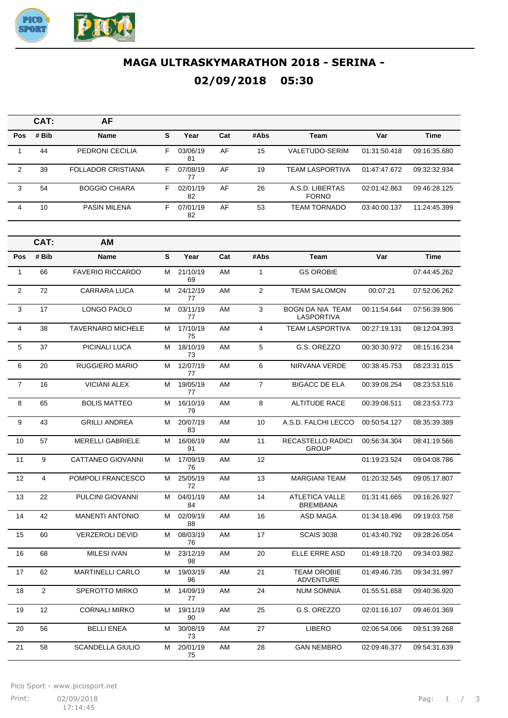

## **MAGA ULTRASKYMARATHON 2018 - SERINA - 02/09/2018 05:30**

|            | CAT:  | AF                        |    |                |     |      |                                 |              |              |
|------------|-------|---------------------------|----|----------------|-----|------|---------------------------------|--------------|--------------|
| <b>Pos</b> | # Bib | <b>Name</b>               | s  | Year           | Cat | #Abs | Team                            | Var          | <b>Time</b>  |
|            | 44    | PEDRONI CECILIA           | F  | 03/06/19<br>81 | AF  | 15   | VALETUDO-SERIM                  | 01:31:50.418 | 09:16:35.680 |
| 2          | 39    | <b>FOLLADOR CRISTIANA</b> | F. | 07/08/19<br>77 | AF  | 19   | <b>TEAM LASPORTIVA</b>          | 01:47:47.672 | 09:32:32.934 |
| 3          | 54    | <b>BOGGIO CHIARA</b>      | F  | 02/01/19<br>82 | AF  | 26   | A.S.D. LIBERTAS<br><b>FORNO</b> | 02:01:42.863 | 09:46:28.125 |
| 4          | 10    | <b>PASIN MILENA</b>       | F  | 07/01/19<br>82 | AF  | 53   | <b>TEAM TORNADO</b>             | 03:40:00.137 | 11:24:45.399 |

|                | CAT:           | AМ                       |   |                |     |                |                                              |              |              |
|----------------|----------------|--------------------------|---|----------------|-----|----------------|----------------------------------------------|--------------|--------------|
| <b>Pos</b>     | # Bib          | Name                     | S | Year           | Cat | #Abs           | Team                                         | Var          | <b>Time</b>  |
| $\mathbf{1}$   | 66             | <b>FAVERIO RICCARDO</b>  | м | 21/10/19<br>69 | AM  | $\mathbf{1}$   | <b>GS OROBIE</b>                             |              | 07:44:45.262 |
| $\mathbf{2}$   | 72             | <b>CARRARA LUCA</b>      | м | 24/12/19<br>77 | AM  | $\overline{2}$ | <b>TEAM SALOMON</b>                          | 00:07:21     | 07:52:06.262 |
| 3              | 17             | LONGO PAOLO              | м | 03/11/19<br>77 | AM  | 3              | <b>BOGN DA NIA TEAM</b><br><b>LASPORTIVA</b> | 00:11:54.644 | 07:56:39.906 |
| 4              | 38             | <b>TAVERNARO MICHELE</b> | м | 17/10/19<br>75 | AM  | 4              | <b>TEAM LASPORTIVA</b>                       | 00:27:19.131 | 08:12:04.393 |
| 5              | 37             | PICINALI LUCA            | М | 18/10/19<br>73 | AM  | 5              | G.S. OREZZO                                  | 00:30:30.972 | 08:15:16.234 |
| 6              | 20             | <b>RUGGIERO MARIO</b>    | М | 12/07/19<br>77 | AM  | 6              | NIRVANA VERDE                                | 00:38:45.753 | 08:23:31.015 |
| $\overline{7}$ | 16             | <b>VICIANI ALEX</b>      | М | 19/05/19<br>77 | AM  | $\overline{7}$ | <b>BIGACC DE ELA</b>                         | 00:39:08.254 | 08:23:53.516 |
| 8              | 65             | <b>BOLIS MATTEO</b>      | М | 16/10/19<br>79 | AM  | 8              | <b>ALTITUDE RACE</b>                         | 00:39:08.511 | 08:23:53.773 |
| 9              | 43             | <b>GRILLI ANDREA</b>     | м | 20/07/19<br>83 | AM  | 10             | A.S.D. FALCHI LECCO                          | 00:50:54.127 | 08:35:39.389 |
| 10             | 57             | <b>MERELLI GABRIELE</b>  | м | 16/06/19<br>91 | AM  | 11             | <b>RECASTELLO RADICI</b><br><b>GROUP</b>     | 00:56:34.304 | 08:41:19.566 |
| 11             | 9              | <b>CATTANEO GIOVANNI</b> | М | 17/09/19<br>76 | AM  | 12             |                                              | 01:19:23.524 | 09:04:08.786 |
| 12             | 4              | POMPOLI FRANCESCO        | м | 25/05/19<br>72 | AM  | 13             | <b>MARGIANI TEAM</b>                         | 01:20:32.545 | 09:05:17.807 |
| 13             | 22             | PULCINI GIOVANNI         | М | 04/01/19<br>84 | AM  | 14             | <b>ATLETICA VALLE</b><br><b>BREMBANA</b>     | 01:31:41.665 | 09:16:26.927 |
| 14             | 42             | <b>MANENTI ANTONIO</b>   | м | 02/09/19<br>88 | AM  | 16             | ASD MAGA                                     | 01:34:18.496 | 09:19:03.758 |
| 15             | 60             | <b>VERZEROLI DEVID</b>   | м | 08/03/19<br>76 | AM  | 17             | <b>SCAIS 3038</b>                            | 01:43:40.792 | 09:28:26.054 |
| 16             | 68             | <b>MILESI IVAN</b>       | м | 23/12/19<br>98 | AM  | 20             | <b>ELLE ERRE ASD</b>                         | 01:49:18.720 | 09:34:03.982 |
| 17             | 62             | <b>MARTINELLI CARLO</b>  | м | 19/03/19<br>96 | AM  | 21             | <b>TEAM OROBIE</b><br><b>ADVENTURE</b>       | 01:49:46.735 | 09:34:31.997 |
| 18             | $\overline{2}$ | <b>SPEROTTO MIRKO</b>    | м | 14/09/19<br>77 | AM  | 24             | <b>NUM SOMNIA</b>                            | 01:55:51.658 | 09:40:36.920 |
| 19             | 12             | <b>CORNALI MIRKO</b>     | М | 19/11/19<br>90 | AM  | 25             | G.S. OREZZO                                  | 02:01:16.107 | 09:46:01.369 |
| 20             | 56             | <b>BELLI ENEA</b>        | М | 30/08/19<br>73 | AM  | 27             | <b>LIBERO</b>                                | 02:06:54.006 | 09:51:39.268 |
| 21             | 58             | <b>SCANDELLA GIULIO</b>  | м | 20/01/19<br>75 | AM  | 28             | <b>GAN NEMBRO</b>                            | 02:09:46.377 | 09:54:31.639 |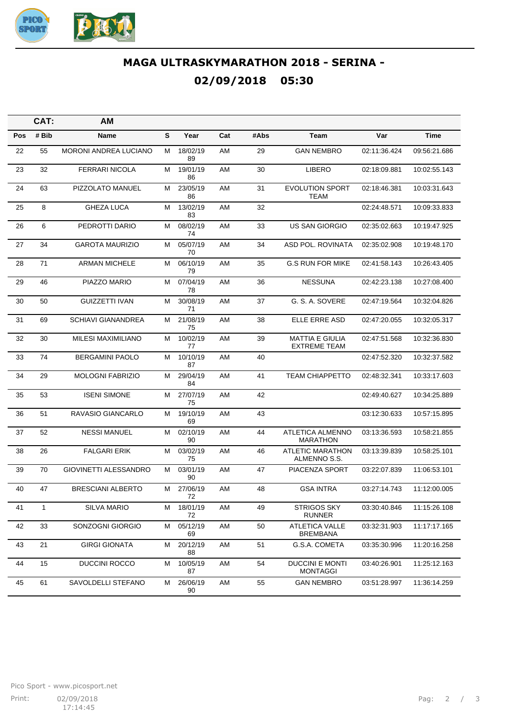

## **MAGA ULTRASKYMARATHON 2018 - SERINA - 02/09/2018 05:30**

|            | CAT:  | <b>AM</b>                    |   |                |     |      |                                               |              |              |
|------------|-------|------------------------------|---|----------------|-----|------|-----------------------------------------------|--------------|--------------|
| <b>Pos</b> | # Bib | Name                         | S | Year           | Cat | #Abs | Team                                          | Var          | <b>Time</b>  |
| 22         | 55    | <b>MORONI ANDREA LUCIANO</b> | М | 18/02/19<br>89 | AM  | 29   | <b>GAN NEMBRO</b>                             | 02:11:36.424 | 09:56:21.686 |
| 23         | 32    | <b>FERRARI NICOLA</b>        | м | 19/01/19<br>86 | AM  | 30   | <b>LIBERO</b>                                 | 02:18:09.881 | 10:02:55.143 |
| 24         | 63    | <b>PIZZOLATO MANUEL</b>      | м | 23/05/19<br>86 | AM  | 31   | <b>EVOLUTION SPORT</b><br>TEAM                | 02:18:46.381 | 10:03:31.643 |
| 25         | 8     | <b>GHEZA LUCA</b>            | м | 13/02/19<br>83 | AM  | 32   |                                               | 02:24:48.571 | 10:09:33.833 |
| 26         | 6     | PEDROTTI DARIO               | м | 08/02/19<br>74 | AM  | 33   | US SAN GIORGIO                                | 02:35:02.663 | 10:19:47.925 |
| 27         | 34    | GAROTA MAURIZIO              | м | 05/07/19<br>70 | AM  | 34   | ASD POL. ROVINATA                             | 02:35:02.908 | 10:19:48.170 |
| 28         | 71    | <b>ARMAN MICHELE</b>         | м | 06/10/19<br>79 | AM  | 35   | <b>G.S RUN FOR MIKE</b>                       | 02:41:58.143 | 10:26:43.405 |
| 29         | 46    | PIAZZO MARIO                 | м | 07/04/19<br>78 | AM  | 36   | <b>NESSUNA</b>                                | 02:42:23.138 | 10:27:08.400 |
| 30         | 50    | <b>GUIZZETTI IVAN</b>        | м | 30/08/19<br>71 | AM  | 37   | G. S. A. SOVERE                               | 02:47:19.564 | 10:32:04.826 |
| 31         | 69    | <b>SCHIAVI GIANANDREA</b>    | м | 21/08/19<br>75 | AM  | 38   | ELLE ERRE ASD                                 | 02:47:20.055 | 10:32:05.317 |
| 32         | 30    | <b>MILESI MAXIMILIANO</b>    | м | 10/02/19<br>77 | AM  | 39   | <b>MATTIA E GIULIA</b><br><b>EXTREME TEAM</b> | 02:47:51.568 | 10:32:36.830 |
| 33         | 74    | <b>BERGAMINI PAOLO</b>       | м | 10/10/19<br>87 | AM  | 40   |                                               | 02:47:52.320 | 10:32:37.582 |
| 34         | 29    | <b>MOLOGNI FABRIZIO</b>      | м | 29/04/19<br>84 | AM  | 41   | <b>TEAM CHIAPPETTO</b>                        | 02:48:32.341 | 10:33:17.603 |
| 35         | 53    | <b>ISENI SIMONE</b>          | м | 27/07/19<br>75 | AM  | 42   |                                               | 02:49:40.627 | 10:34:25.889 |
| 36         | 51    | RAVASIO GIANCARLO            | м | 19/10/19<br>69 | AM  | 43   |                                               | 03:12:30.633 | 10:57:15.895 |
| 37         | 52    | <b>NESSI MANUEL</b>          | м | 02/10/19<br>90 | AM  | 44   | ATLETICA ALMENNO<br><b>MARATHON</b>           | 03:13:36.593 | 10:58:21.855 |
| 38         | 26    | <b>FALGARI ERIK</b>          | м | 03/02/19<br>75 | AM  | 46   | <b>ATLETIC MARATHON</b><br>ALMENNO S.S.       | 03:13:39.839 | 10:58:25.101 |
| 39         | 70    | GIOVINETTI ALESSANDRO        | м | 03/01/19<br>90 | AM  | 47   | PIACENZA SPORT                                | 03:22:07.839 | 11:06:53.101 |
| 40         | 47    | <b>BRESCIANI ALBERTO</b>     | м | 27/06/19<br>72 | AM  | 48   | <b>GSA INTRA</b>                              | 03:27:14.743 | 11:12:00.005 |
| 41         | 1     | <b>SILVA MARIO</b>           | м | 18/01/19<br>72 | AM  | 49   | <b>STRIGOS SKY</b><br><b>RUNNER</b>           | 03:30:40.846 | 11:15:26.108 |
| 42         | 33    | SONZOGNI GIORGIO             | М | 05/12/19<br>69 | AM  | 50   | <b>ATLETICA VALLE</b><br><b>BREMBANA</b>      | 03:32:31.903 | 11:17:17.165 |
| 43         | 21    | GIRGI GIONATA                | м | 20/12/19<br>88 | AM  | 51   | G.S.A. COMETA                                 | 03:35:30.996 | 11:20:16.258 |
| 44         | 15    | DUCCINI ROCCO                | м | 10/05/19<br>87 | AM  | 54   | <b>DUCCINI E MONTI</b><br><b>MONTAGGI</b>     | 03:40:26.901 | 11:25:12.163 |
| 45         | 61    | SAVOLDELLI STEFANO           | м | 26/06/19<br>90 | AM  | 55   | <b>GAN NEMBRO</b>                             | 03:51:28.997 | 11:36:14.259 |